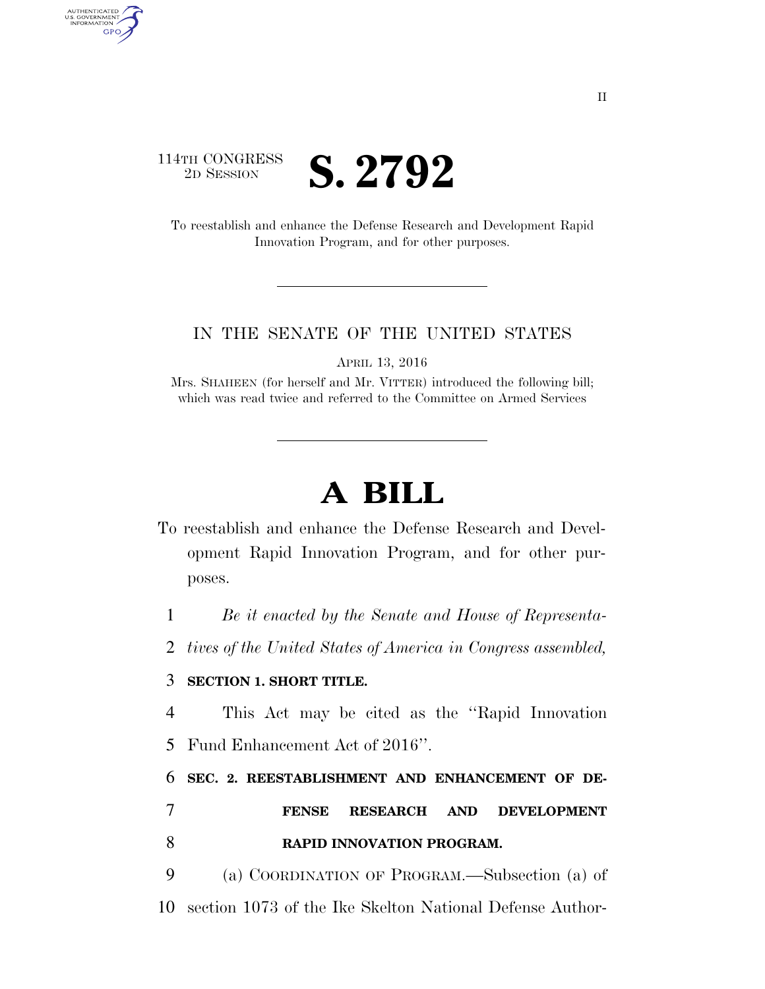## 114TH CONGRESS **ED SESSION S. 2792**

AUTHENTICATED<br>U.S. GOVERNMENT<br>INFORMATION GPO

> To reestablish and enhance the Defense Research and Development Rapid Innovation Program, and for other purposes.

## IN THE SENATE OF THE UNITED STATES

APRIL 13, 2016

Mrs. SHAHEEN (for herself and Mr. VITTER) introduced the following bill; which was read twice and referred to the Committee on Armed Services

## **A BILL**

To reestablish and enhance the Defense Research and Development Rapid Innovation Program, and for other purposes.

1 *Be it enacted by the Senate and House of Representa-*

2 *tives of the United States of America in Congress assembled,* 

## 3 **SECTION 1. SHORT TITLE.**

4 This Act may be cited as the ''Rapid Innovation 5 Fund Enhancement Act of 2016''.

6 **SEC. 2. REESTABLISHMENT AND ENHANCEMENT OF DE-**

7 **FENSE RESEARCH AND DEVELOPMENT**  8 **RAPID INNOVATION PROGRAM.** 

9 (a) COORDINATION OF PROGRAM.—Subsection (a) of 10 section 1073 of the Ike Skelton National Defense Author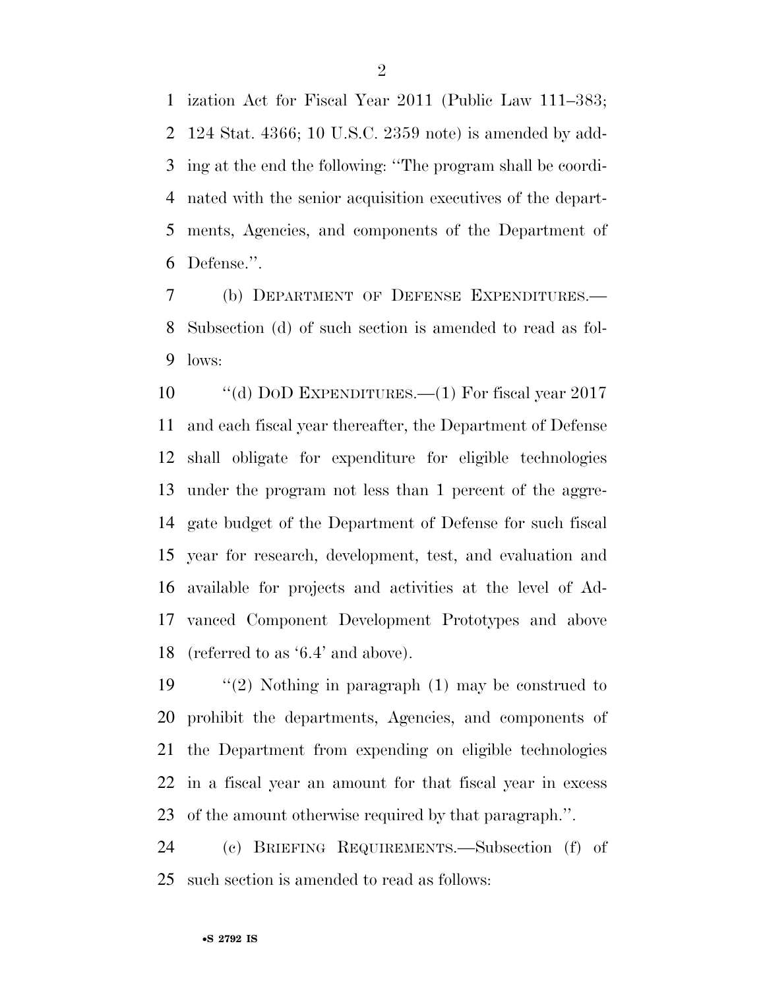ization Act for Fiscal Year 2011 (Public Law 111–383; 124 Stat. 4366; 10 U.S.C. 2359 note) is amended by add- ing at the end the following: ''The program shall be coordi- nated with the senior acquisition executives of the depart- ments, Agencies, and components of the Department of Defense.''.

 (b) DEPARTMENT OF DEFENSE EXPENDITURES.— Subsection (d) of such section is amended to read as fol-lows:

 ''(d) DOD EXPENDITURES.—(1) For fiscal year 2017 and each fiscal year thereafter, the Department of Defense shall obligate for expenditure for eligible technologies under the program not less than 1 percent of the aggre- gate budget of the Department of Defense for such fiscal year for research, development, test, and evaluation and available for projects and activities at the level of Ad- vanced Component Development Prototypes and above (referred to as '6.4' and above).

 ''(2) Nothing in paragraph (1) may be construed to prohibit the departments, Agencies, and components of the Department from expending on eligible technologies in a fiscal year an amount for that fiscal year in excess of the amount otherwise required by that paragraph.''.

 (c) BRIEFING REQUIREMENTS.—Subsection (f) of such section is amended to read as follows: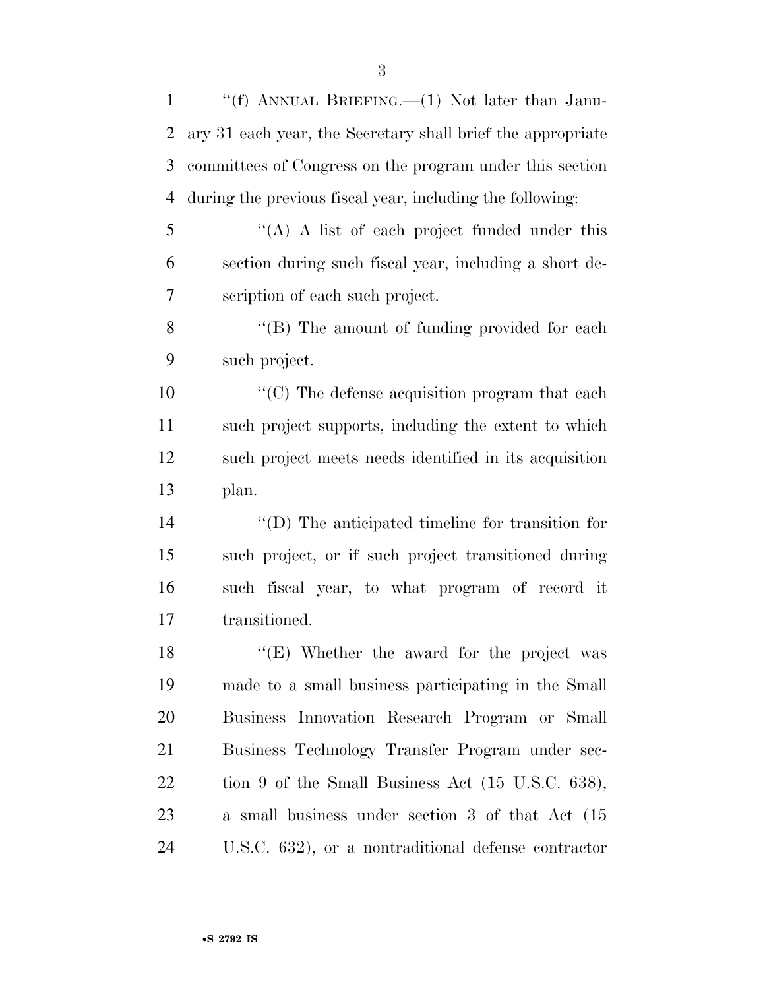| $\mathbf{1}$ | "(f) ANNUAL BRIEFING.—(1) Not later than Janu-                |
|--------------|---------------------------------------------------------------|
| 2            | ary 31 each year, the Secretary shall brief the appropriate   |
| 3            | committees of Congress on the program under this section      |
| 4            | during the previous fiscal year, including the following:     |
| 5            | "(A) A list of each project funded under this                 |
| 6            | section during such fiscal year, including a short de-        |
| 7            | scription of each such project.                               |
| 8            | "(B) The amount of funding provided for each                  |
| 9            | such project.                                                 |
| 10           | $\cdot\cdot$ (C) The defense acquisition program that each    |
| 11           | such project supports, including the extent to which          |
| 12           | such project meets needs identified in its acquisition        |
| 13           | plan.                                                         |
| 14           | $\lq\lq$ (D) The anticipated timeline for transition for      |
| 15           | such project, or if such project transitioned during          |
| 16           | such fiscal year, to what program of record it                |
| 17           | transitioned.                                                 |
| 18           | $\lq$ <sup>"</sup> (E) Whether the award for the project was  |
| 19           | made to a small business participating in the Small           |
| 20           | Business Innovation Research Program or Small                 |
| 21           | Business Technology Transfer Program under sec-               |
| 22           | tion 9 of the Small Business Act $(15 \text{ U.S.C. } 638)$ , |
| 23           | a small business under section 3 of that Act (15              |
| 24           | U.S.C. 632), or a nontraditional defense contractor           |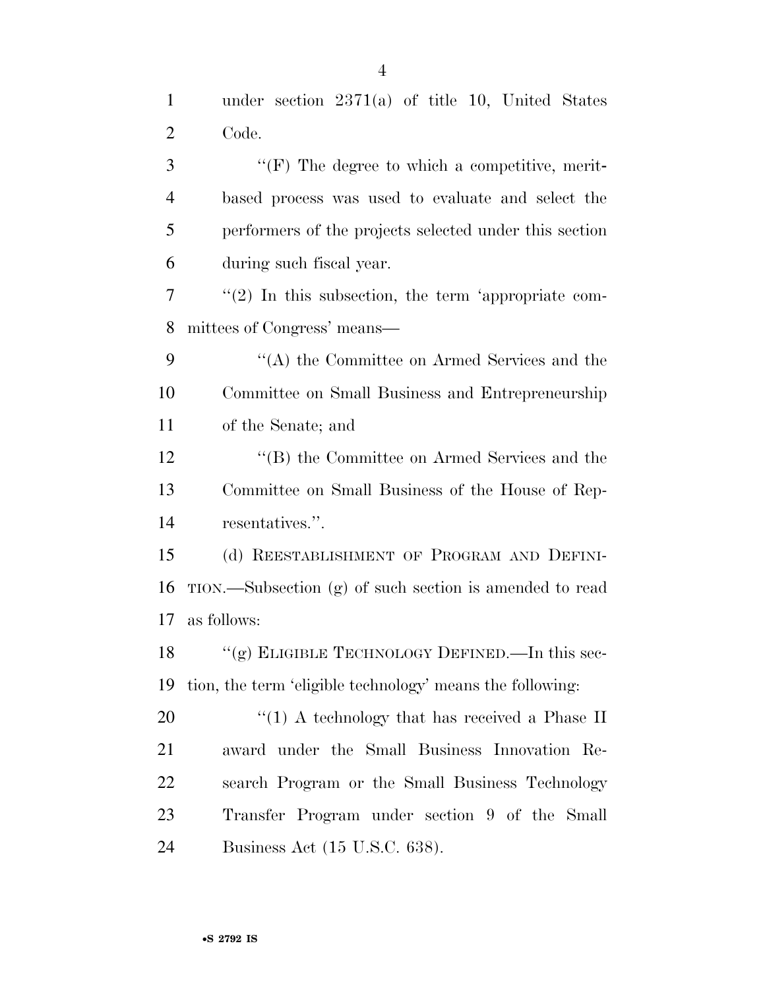| $\mathbf{1}$   | under section $2371(a)$ of title 10, United States        |
|----------------|-----------------------------------------------------------|
| $\overline{2}$ | Code.                                                     |
| 3              | $\lq\lq(F)$ The degree to which a competitive, merit-     |
| $\overline{4}$ | based process was used to evaluate and select the         |
| 5              | performers of the projects selected under this section    |
| 6              | during such fiscal year.                                  |
| $\tau$         | $\lq(2)$ In this subsection, the term 'appropriate com-   |
| 8              | mittees of Congress' means—                               |
| 9              | "(A) the Committee on Armed Services and the              |
| 10             | Committee on Small Business and Entrepreneurship          |
| 11             | of the Senate; and                                        |
| 12             | "(B) the Committee on Armed Services and the              |
| 13             | Committee on Small Business of the House of Rep-          |
| 14             | resentatives.".                                           |
| 15             | (d) REESTABLISHMENT OF PROGRAM AND DEFINI-                |
| 16             | TION.—Subsection (g) of such section is amended to read   |
| 17             | as follows:                                               |
|                | 18 "(g) ELIGIBLE TECHNOLOGY DEFINED.—In this sec-         |
| 19             | tion, the term 'eligible technology' means the following: |
| 20             | "(1) A technology that has received a Phase II            |
| 21             | award under the Small Business Innovation Re-             |
| 22             | search Program or the Small Business Technology           |
| 23             | Transfer Program under section 9 of the Small             |
| 24             | Business Act (15 U.S.C. 638).                             |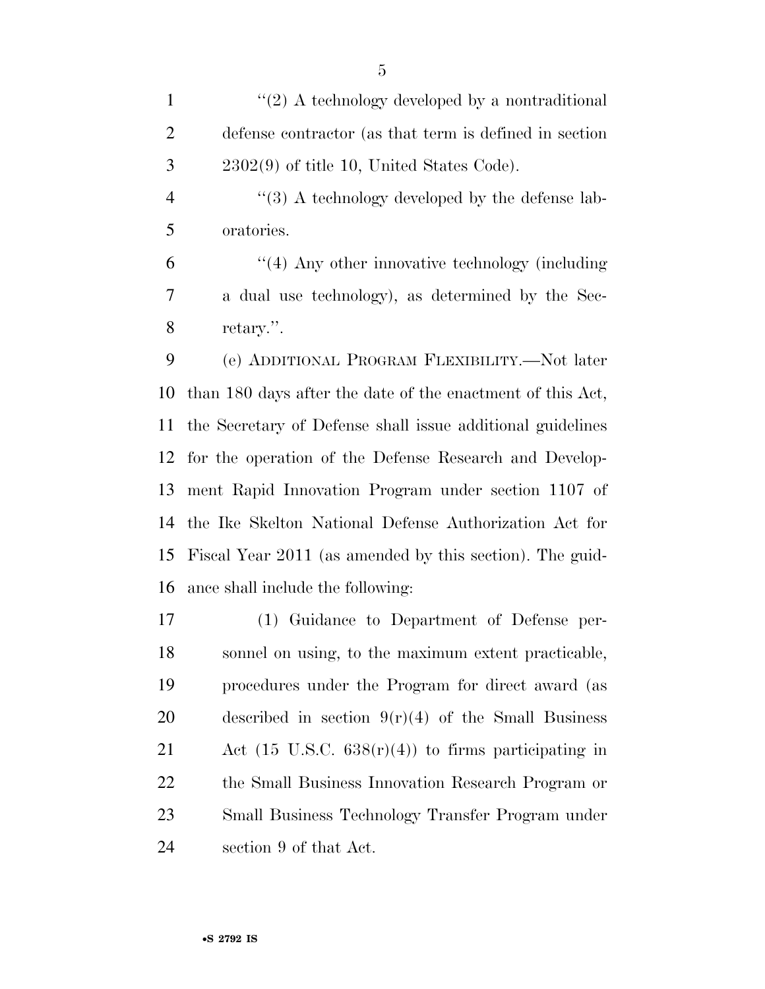1  $\frac{1}{2}$  A technology developed by a nontraditional defense contractor (as that term is defined in section 2302(9) of title 10, United States Code).

4  $\frac{4}{3}$  A technology developed by the defense lab-oratories.

 ''(4) Any other innovative technology (including a dual use technology), as determined by the Sec-retary.''.

 (e) ADDITIONAL PROGRAM FLEXIBILITY.—Not later than 180 days after the date of the enactment of this Act, the Secretary of Defense shall issue additional guidelines for the operation of the Defense Research and Develop- ment Rapid Innovation Program under section 1107 of the Ike Skelton National Defense Authorization Act for Fiscal Year 2011 (as amended by this section). The guid-ance shall include the following:

 (1) Guidance to Department of Defense per- sonnel on using, to the maximum extent practicable, procedures under the Program for direct award (as 20 described in section  $9(r)(4)$  of the Small Business Act (15 U.S.C. 638(r)(4)) to firms participating in the Small Business Innovation Research Program or Small Business Technology Transfer Program under section 9 of that Act.